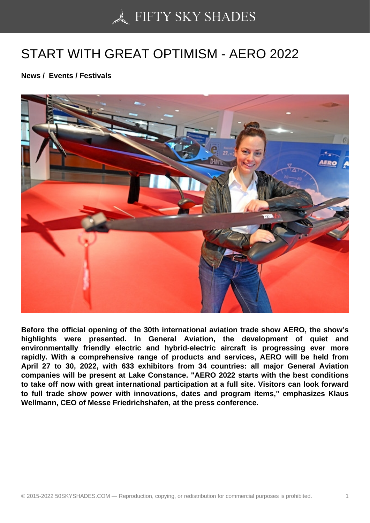## [START WITH GREAT](https://50skyshades.com) OPTIMISM - AERO 2022

News / Events / Festivals

Before the official opening of the 30th international aviation trade show AERO, the show's highlights were presented. In General Aviation, the development of quiet and environmentally friendly electric and hybrid-electric aircraft is progressing ever more rapidly. With a comprehensive range of products and services, AERO will be held from April 27 to 30, 2022, with 633 exhibitors from 34 countries: all major General Aviation companies will be present at Lake Constance. "AERO 2022 starts with the best conditions to take off now with great international participation at a full site. Visitors can look forward to full trade show power with innovations, dates and program items," emphasizes Klaus Wellmann, CEO of Messe Friedrichshafen, at the press conference.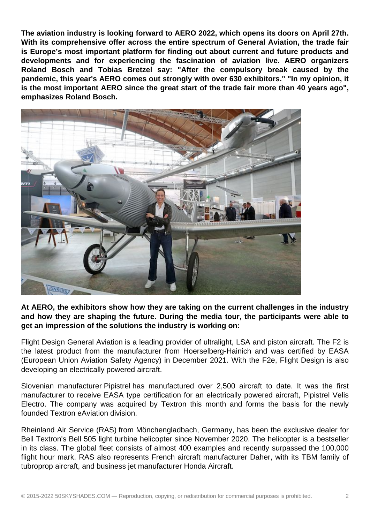**The aviation industry is looking forward to AERO 2022, which opens its doors on April 27th. With its comprehensive offer across the entire spectrum of General Aviation, the trade fair is Europe's most important platform for finding out about current and future products and developments and for experiencing the fascination of aviation live. AERO organizers Roland Bosch and Tobias Bretzel say: "After the compulsory break caused by the pandemic, this year's AERO comes out strongly with over 630 exhibitors." "In my opinion, it is the most important AERO since the great start of the trade fair more than 40 years ago", emphasizes Roland Bosch.**



**At AERO, the exhibitors show how they are taking on the current challenges in the industry and how they are shaping the future. During the media tour, the participants were able to get an impression of the solutions the industry is working on:**

Flight Design General Aviation is a leading provider of ultralight, LSA and piston aircraft. The F2 is the latest product from the manufacturer from Hoerselberg-Hainich and was certified by EASA (European Union Aviation Safety Agency) in December 2021. With the F2e, Flight Design is also developing an electrically powered aircraft.

Slovenian manufacturer Pipistrel has manufactured over 2,500 aircraft to date. It was the first manufacturer to receive EASA type certification for an electrically powered aircraft, Pipistrel Velis Electro. The company was acquired by Textron this month and forms the basis for the newly founded Textron eAviation division.

Rheinland Air Service (RAS) from Mönchengladbach, Germany, has been the exclusive dealer for Bell Textron's Bell 505 light turbine helicopter since November 2020. The helicopter is a bestseller in its class. The global fleet consists of almost 400 examples and recently surpassed the 100,000 flight hour mark. RAS also represents French aircraft manufacturer Daher, with its TBM family of tubroprop aircraft, and business jet manufacturer Honda Aircraft.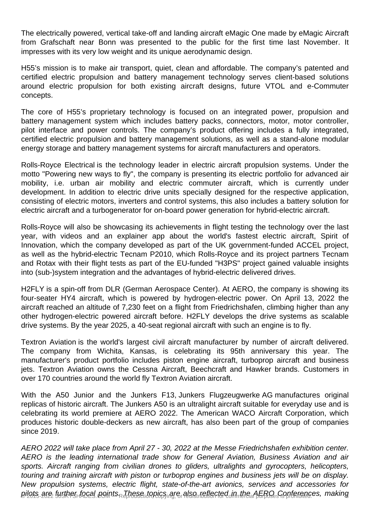The electrically powered, vertical take-off and landing aircraft eMagic One made by eMagic Aircraft from Grafschaft near Bonn was presented to the public for the first time last November. It impresses with its very low weight and its unique aerodynamic design.

H55's mission is to make air transport, quiet, clean and affordable. The company's patented and certified electric propulsion and battery management technology serves client-based solutions around electric propulsion for both existing aircraft designs, future VTOL and e-Commuter concepts.

The core of H55's proprietary technology is focused on an integrated power, propulsion and battery management system which includes battery packs, connectors, motor, motor controller, pilot interface and power controls. The company's product offering includes a fully integrated, certified electric propulsion and battery management solutions, as well as a stand-alone modular energy storage and battery management systems for aircraft manufacturers and operators.

Rolls-Royce Electrical is the technology leader in electric aircraft propulsion systems. Under the motto "Powering new ways to fly", the company is presenting its electric portfolio for advanced air mobility, i.e. urban air mobility and electric commuter aircraft, which is currently under development. In addition to electric drive units specially designed for the respective application, consisting of electric motors, inverters and control systems, this also includes a battery solution for electric aircraft and a turbogenerator for on-board power generation for hybrid-electric aircraft.

Rolls-Royce will also be showcasing its achievements in flight testing the technology over the last year, with videos and an explainer app about the world's fastest electric aircraft, Spirit of Innovation, which the company developed as part of the UK government-funded ACCEL project, as well as the hybrid-electric Tecnam P2010, which Rolls-Royce and its project partners Tecnam and Rotax with their flight tests as part of the EU-funded "H3PS" project gained valuable insights into (sub-)system integration and the advantages of hybrid-electric delivered drives.

H2FLY is a spin-off from DLR (German Aerospace Center). At AERO, the company is showing its four-seater HY4 aircraft, which is powered by hydrogen-electric power. On April 13, 2022 the aircraft reached an altitude of 7,230 feet on a flight from Friedrichshafen, climbing higher than any other hydrogen-electric powered aircraft before. H2FLY develops the drive systems as scalable drive systems. By the year 2025, a 40-seat regional aircraft with such an engine is to fly.

Textron Aviation is the world's largest civil aircraft manufacturer by number of aircraft delivered. The company from Wichita, Kansas, is celebrating its 95th anniversary this year. The manufacturer's product portfolio includes piston engine aircraft, turboprop aircraft and business jets. Textron Aviation owns the Cessna Aircraft, Beechcraft and Hawker brands. Customers in over 170 countries around the world fly Textron Aviation aircraft.

With the A50 Junior and the Junkers F13, Junkers Flugzeugwerke AG manufactures original replicas of historic aircraft. The Junkers A50 is an ultralight aircraft suitable for everyday use and is celebrating its world premiere at AERO 2022. The American WACO Aircraft Corporation, which produces historic double-deckers as new aircraft, has also been part of the group of companies since 2019.

AERO 2022 will take place from April 27 - 30, 2022 at the Messe Friedrichshafen exhibition center. AERO is the leading international trade show for General Aviation, Business Aviation and air sports. Aircraft ranging from civilian drones to gliders, ultralights and gyrocopters, helicopters, touring and training aircraft with piston or turboprop engines and business jets will be on display. New propulsion systems, electric flight, state-of-the-art avionics, services and accessories for pilots are further focal points. These topics are also reflected in the AERO Conferences, making